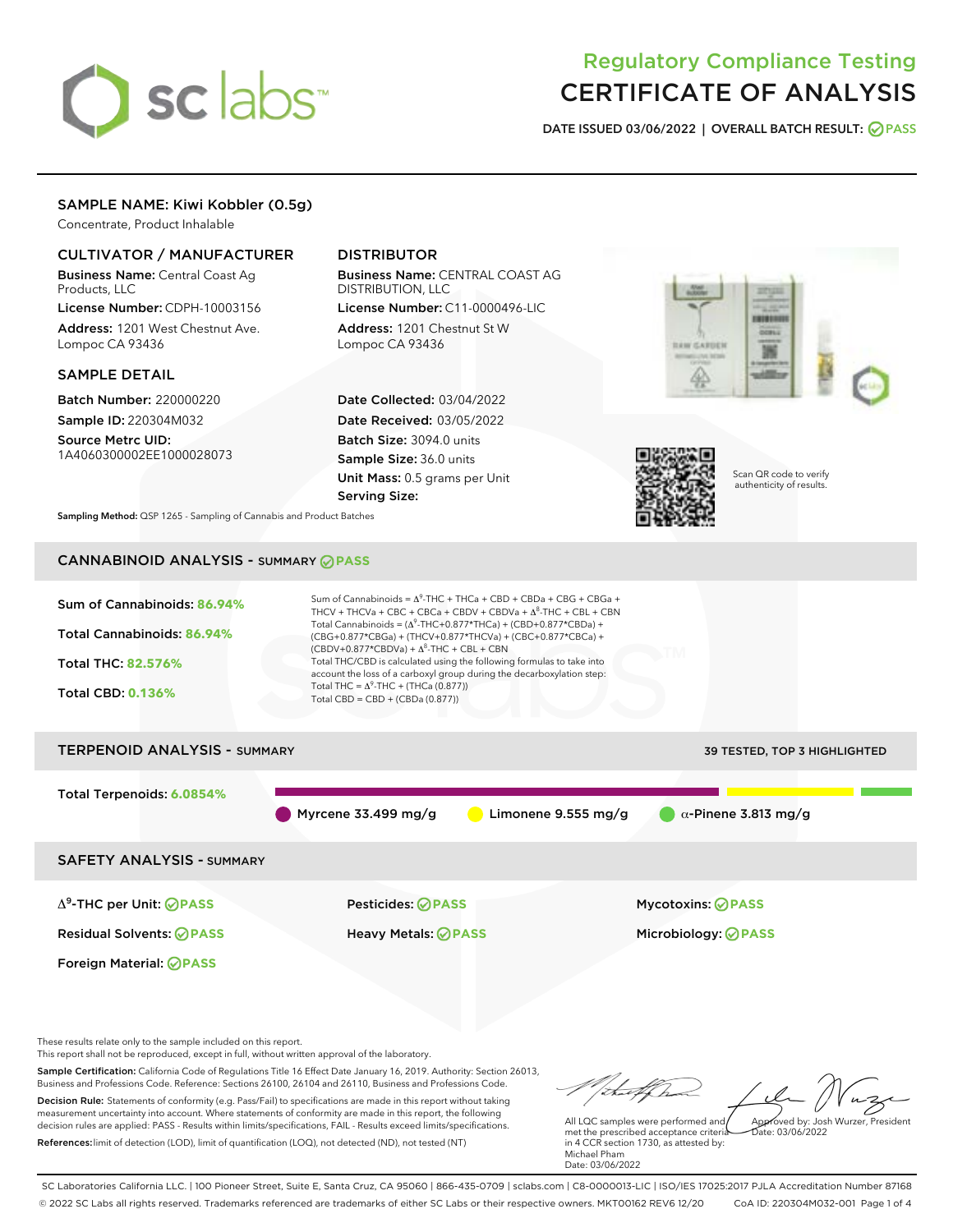# sclabs<sup>\*</sup>

# Regulatory Compliance Testing CERTIFICATE OF ANALYSIS

DATE ISSUED 03/06/2022 | OVERALL BATCH RESULT: @ PASS

# SAMPLE NAME: Kiwi Kobbler (0.5g)

Concentrate, Product Inhalable

# CULTIVATOR / MANUFACTURER

Business Name: Central Coast Ag Products, LLC License Number: CDPH-10003156

Address: 1201 West Chestnut Ave. Lompoc CA 93436

### SAMPLE DETAIL

Batch Number: 220000220 Sample ID: 220304M032

Source Metrc UID: 1A4060300002EE1000028073

# DISTRIBUTOR

Business Name: CENTRAL COAST AG DISTRIBUTION, LLC License Number: C11-0000496-LIC

Address: 1201 Chestnut St W Lompoc CA 93436

Date Collected: 03/04/2022 Date Received: 03/05/2022 Batch Size: 3094.0 units Sample Size: 36.0 units Unit Mass: 0.5 grams per Unit Serving Size:





Scan QR code to verify authenticity of results.

Sampling Method: QSP 1265 - Sampling of Cannabis and Product Batches

# CANNABINOID ANALYSIS - SUMMARY **PASS**

| Sum of Cannabinoids: 86.94%<br>Total Cannabinoids: 86.94%<br>Total THC: 82.576%<br><b>Total CBD: 0.136%</b> | Sum of Cannabinoids = $A^9$ -THC + THCa + CBD + CBDa + CBG + CBGa +<br>THCV + THCVa + CBC + CBCa + CBDV + CBDVa + $\Delta^8$ -THC + CBL + CBN<br>Total Cannabinoids = $(\Delta^9$ -THC+0.877*THCa) + (CBD+0.877*CBDa) +<br>(CBG+0.877*CBGa) + (THCV+0.877*THCVa) + (CBC+0.877*CBCa) +<br>$(CBDV+0.877*CBDVa) + \Delta^8$ -THC + CBL + CBN<br>Total THC/CBD is calculated using the following formulas to take into<br>account the loss of a carboxyl group during the decarboxylation step:<br>Total THC = $\Delta^9$ -THC + (THCa (0.877))<br>Total CBD = CBD + (CBDa (0.877)) |                                                        |
|-------------------------------------------------------------------------------------------------------------|---------------------------------------------------------------------------------------------------------------------------------------------------------------------------------------------------------------------------------------------------------------------------------------------------------------------------------------------------------------------------------------------------------------------------------------------------------------------------------------------------------------------------------------------------------------------------------|--------------------------------------------------------|
| <b>TERPENOID ANALYSIS - SUMMARY</b>                                                                         |                                                                                                                                                                                                                                                                                                                                                                                                                                                                                                                                                                                 | 39 TESTED, TOP 3 HIGHLIGHTED                           |
| Total Terpenoids: 6.0854%                                                                                   | Myrcene $33.499$ mg/g<br>Limonene $9.555$ mg/g                                                                                                                                                                                                                                                                                                                                                                                                                                                                                                                                  | $\alpha$ -Pinene 3.813 mg/g                            |
| <b>SAFETY ANALYSIS - SUMMARY</b>                                                                            |                                                                                                                                                                                                                                                                                                                                                                                                                                                                                                                                                                                 |                                                        |
| $\Delta^9$ -THC per Unit: <b>OPASS</b><br><b>Residual Solvents: ⊘PASS</b>                                   | Pesticides: ⊘PASS<br>Heavy Metals: ⊘ PASS                                                                                                                                                                                                                                                                                                                                                                                                                                                                                                                                       | <b>Mycotoxins: ⊘PASS</b><br>Microbiology: <b>⊘PASS</b> |

These results relate only to the sample included on this report.

Foreign Material: **PASS**

This report shall not be reproduced, except in full, without written approval of the laboratory.

Sample Certification: California Code of Regulations Title 16 Effect Date January 16, 2019. Authority: Section 26013, Business and Professions Code. Reference: Sections 26100, 26104 and 26110, Business and Professions Code. Decision Rule: Statements of conformity (e.g. Pass/Fail) to specifications are made in this report without taking

measurement uncertainty into account. Where statements of conformity are made in this report, the following decision rules are applied: PASS - Results within limits/specifications, FAIL - Results exceed limits/specifications. References:limit of detection (LOD), limit of quantification (LOQ), not detected (ND), not tested (NT)

Approved by: Josh Wurzer, President

 $\frac{1}{2}$ ate: 03/06/20022

All LQC samples were performed and met the prescribed acceptance criteria in 4 CCR section 1730, as attested by: Michael Pham Date: 03/06/2022

SC Laboratories California LLC. | 100 Pioneer Street, Suite E, Santa Cruz, CA 95060 | 866-435-0709 | sclabs.com | C8-0000013-LIC | ISO/IES 17025:2017 PJLA Accreditation Number 87168 © 2022 SC Labs all rights reserved. Trademarks referenced are trademarks of either SC Labs or their respective owners. MKT00162 REV6 12/20 CoA ID: 220304M032-001 Page 1 of 4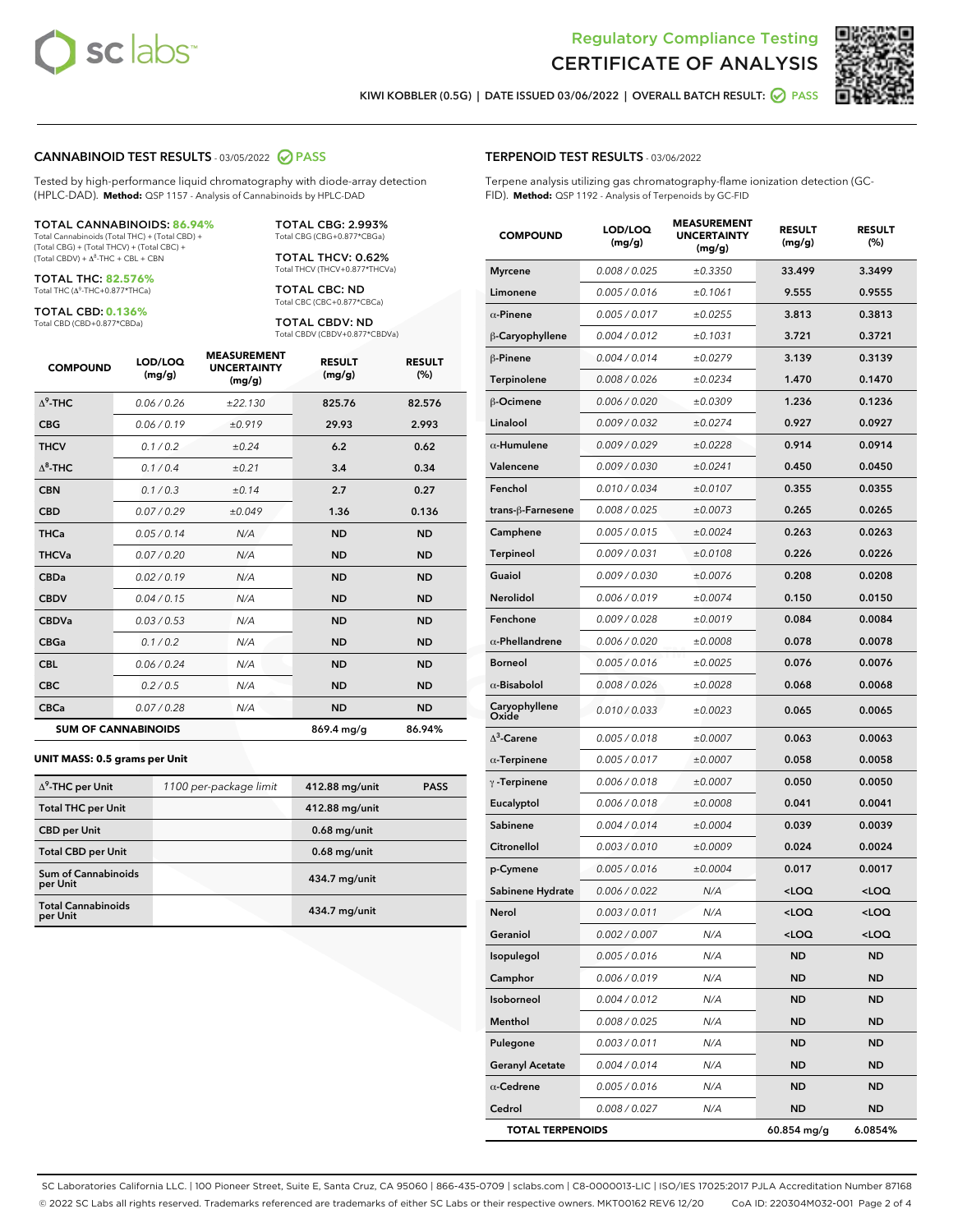



KIWI KOBBLER (0.5G) | DATE ISSUED 03/06/2022 | OVERALL BATCH RESULT: @ PASS

## CANNABINOID TEST RESULTS - 03/05/2022 2 PASS

Tested by high-performance liquid chromatography with diode-array detection (HPLC-DAD). **Method:** QSP 1157 - Analysis of Cannabinoids by HPLC-DAD

### TOTAL CANNABINOIDS: **86.94%**

Total Cannabinoids (Total THC) + (Total CBD) + (Total CBG) + (Total THCV) + (Total CBC) +  $(Total CBDV) +  $\Delta^8$ -THC + CBL + CBN$ 

TOTAL THC: **82.576%** Total THC (Δ<sup>9</sup> -THC+0.877\*THCa)

TOTAL CBD: **0.136%**

Total CBD (CBD+0.877\*CBDa)

TOTAL CBG: 2.993% Total CBG (CBG+0.877\*CBGa)

TOTAL THCV: 0.62% Total THCV (THCV+0.877\*THCVa)

TOTAL CBC: ND Total CBC (CBC+0.877\*CBCa)

TOTAL CBDV: ND Total CBDV (CBDV+0.877\*CBDVa)

| <b>COMPOUND</b>  | LOD/LOQ<br>(mg/g)          | <b>MEASUREMENT</b><br><b>UNCERTAINTY</b><br>(mg/g) | <b>RESULT</b><br>(mg/g) | <b>RESULT</b><br>(%) |
|------------------|----------------------------|----------------------------------------------------|-------------------------|----------------------|
| $\Lambda^9$ -THC | 0.06/0.26                  | ±22.130                                            | 825.76                  | 82.576               |
| <b>CBG</b>       | 0.06/0.19                  | ±0.919                                             | 29.93                   | 2.993                |
| <b>THCV</b>      | 0.1/0.2                    | ±0.24                                              | 6.2                     | 0.62                 |
| $\Delta^8$ -THC  | 0.1/0.4                    | ±0.21                                              | 3.4                     | 0.34                 |
| <b>CBN</b>       | 0.1/0.3                    | ±0.14                                              | 2.7                     | 0.27                 |
| <b>CBD</b>       | 0.07/0.29                  | ±0.049                                             | 1.36                    | 0.136                |
| <b>THCa</b>      | 0.05/0.14                  | N/A                                                | <b>ND</b>               | <b>ND</b>            |
| <b>THCVa</b>     | 0.07 / 0.20                | N/A                                                | <b>ND</b>               | <b>ND</b>            |
| <b>CBDa</b>      | 0.02/0.19                  | N/A                                                | <b>ND</b>               | <b>ND</b>            |
| <b>CBDV</b>      | 0.04 / 0.15                | N/A                                                | <b>ND</b>               | <b>ND</b>            |
| <b>CBDVa</b>     | 0.03/0.53                  | N/A                                                | <b>ND</b>               | <b>ND</b>            |
| <b>CBGa</b>      | 0.1/0.2                    | N/A                                                | <b>ND</b>               | <b>ND</b>            |
| <b>CBL</b>       | 0.06 / 0.24                | N/A                                                | <b>ND</b>               | <b>ND</b>            |
| <b>CBC</b>       | 0.2 / 0.5                  | N/A                                                | <b>ND</b>               | <b>ND</b>            |
| <b>CBCa</b>      | 0.07/0.28                  | N/A                                                | <b>ND</b>               | <b>ND</b>            |
|                  | <b>SUM OF CANNABINOIDS</b> |                                                    | 869.4 mg/g              | 86.94%               |

### **UNIT MASS: 0.5 grams per Unit**

| $\Delta^9$ -THC per Unit               | 1100 per-package limit | 412.88 mg/unit | <b>PASS</b> |
|----------------------------------------|------------------------|----------------|-------------|
| <b>Total THC per Unit</b>              |                        | 412.88 mg/unit |             |
| <b>CBD per Unit</b>                    |                        | $0.68$ mg/unit |             |
| <b>Total CBD per Unit</b>              |                        | $0.68$ mg/unit |             |
| <b>Sum of Cannabinoids</b><br>per Unit |                        | 434.7 mg/unit  |             |
| <b>Total Cannabinoids</b><br>per Unit  |                        | 434.7 mg/unit  |             |

Terpene analysis utilizing gas chromatography-flame ionization detection (GC-FID). **Method:** QSP 1192 - Analysis of Terpenoids by GC-FID

| <b>COMPOUND</b>         | LOD/LOQ<br>(mg/g) | <b>MEASUREMENT</b><br><b>UNCERTAINTY</b><br>(mg/g) | <b>RESULT</b><br>(mg/g)                         | <b>RESULT</b><br>$(\%)$ |
|-------------------------|-------------------|----------------------------------------------------|-------------------------------------------------|-------------------------|
| <b>Myrcene</b>          | 0.008 / 0.025     | ±0.3350                                            | 33.499                                          | 3.3499                  |
| Limonene                | 0.005 / 0.016     | ±0.1061                                            | 9.555                                           | 0.9555                  |
| $\alpha$ -Pinene        | 0.005 / 0.017     | ±0.0255                                            | 3.813                                           | 0.3813                  |
| β-Caryophyllene         | 0.004 / 0.012     | ±0.1031                                            | 3.721                                           | 0.3721                  |
| $\beta$ -Pinene         | 0.004 / 0.014     | ±0.0279                                            | 3.139                                           | 0.3139                  |
| <b>Terpinolene</b>      | 0.008 / 0.026     | ±0.0234                                            | 1.470                                           | 0.1470                  |
| β-Ocimene               | 0.006 / 0.020     | ±0.0309                                            | 1.236                                           | 0.1236                  |
| Linalool                | 0.009 / 0.032     | ±0.0274                                            | 0.927                                           | 0.0927                  |
| $\alpha$ -Humulene      | 0.009 / 0.029     | ±0.0228                                            | 0.914                                           | 0.0914                  |
| Valencene               | 0.009 / 0.030     | ±0.0241                                            | 0.450                                           | 0.0450                  |
| Fenchol                 | 0.010 / 0.034     | ±0.0107                                            | 0.355                                           | 0.0355                  |
| trans-β-Farnesene       | 0.008 / 0.025     | ±0.0073                                            | 0.265                                           | 0.0265                  |
| Camphene                | 0.005 / 0.015     | ±0.0024                                            | 0.263                                           | 0.0263                  |
| Terpineol               | 0.009 / 0.031     | ±0.0108                                            | 0.226                                           | 0.0226                  |
| Guaiol                  | 0.009 / 0.030     | ±0.0076                                            | 0.208                                           | 0.0208                  |
| Nerolidol               | 0.006 / 0.019     | ±0.0074                                            | 0.150                                           | 0.0150                  |
| Fenchone                | 0.009 / 0.028     | ±0.0019                                            | 0.084                                           | 0.0084                  |
| $\alpha$ -Phellandrene  | 0.006 / 0.020     | ±0.0008                                            | 0.078                                           | 0.0078                  |
| <b>Borneol</b>          | 0.005 / 0.016     | ±0.0025                                            | 0.076                                           | 0.0076                  |
| $\alpha$ -Bisabolol     | 0.008 / 0.026     | ±0.0028                                            | 0.068                                           | 0.0068                  |
| Caryophyllene<br>Oxide  | 0.010 / 0.033     | ±0.0023                                            | 0.065                                           | 0.0065                  |
| $\Delta^3$ -Carene      | 0.005 / 0.018     | ±0.0007                                            | 0.063                                           | 0.0063                  |
| $\alpha$ -Terpinene     | 0.005 / 0.017     | ±0.0007                                            | 0.058                                           | 0.0058                  |
| $\gamma$ -Terpinene     | 0.006 / 0.018     | ±0.0007                                            | 0.050                                           | 0.0050                  |
| Eucalyptol              | 0.006 / 0.018     | ±0.0008                                            | 0.041                                           | 0.0041                  |
| Sabinene                | 0.004 / 0.014     | ±0.0004                                            | 0.039                                           | 0.0039                  |
| Citronellol             | 0.003 / 0.010     | ±0.0009                                            | 0.024                                           | 0.0024                  |
| p-Cymene                | 0.005 / 0.016     | ±0.0004                                            | 0.017                                           | 0.0017                  |
| Sabinene Hydrate        | 0.006 / 0.022     | N/A                                                | <loq< th=""><th><loq< th=""></loq<></th></loq<> | <loq< th=""></loq<>     |
| Nerol                   | 0.003 / 0.011     | N/A                                                | <loq< th=""><th><loq< th=""></loq<></th></loq<> | <loq< th=""></loq<>     |
| Geraniol                | 0.002 / 0.007     | N/A                                                | <loq< th=""><th><loq< th=""></loq<></th></loq<> | <loq< th=""></loq<>     |
| Isopulegol              | 0.005 / 0.016     | N/A                                                | ND                                              | ND                      |
| Camphor                 | 0.006 / 0.019     | N/A                                                | <b>ND</b>                                       | <b>ND</b>               |
| Isoborneol              | 0.004 / 0.012     | N/A                                                | ND                                              | ND                      |
| Menthol                 | 0.008 / 0.025     | N/A                                                | ND                                              | ND                      |
| Pulegone                | 0.003 / 0.011     | N/A                                                | <b>ND</b>                                       | <b>ND</b>               |
| <b>Geranyl Acetate</b>  | 0.004 / 0.014     | N/A                                                | ND                                              | ND                      |
| $\alpha$ -Cedrene       | 0.005 / 0.016     | N/A                                                | ND                                              | ND                      |
| Cedrol                  | 0.008 / 0.027     | N/A                                                | <b>ND</b>                                       | ND                      |
| <b>TOTAL TERPENOIDS</b> |                   |                                                    | 60.854 mg/g                                     | 6.0854%                 |

SC Laboratories California LLC. | 100 Pioneer Street, Suite E, Santa Cruz, CA 95060 | 866-435-0709 | sclabs.com | C8-0000013-LIC | ISO/IES 17025:2017 PJLA Accreditation Number 87168 © 2022 SC Labs all rights reserved. Trademarks referenced are trademarks of either SC Labs or their respective owners. MKT00162 REV6 12/20 CoA ID: 220304M032-001 Page 2 of 4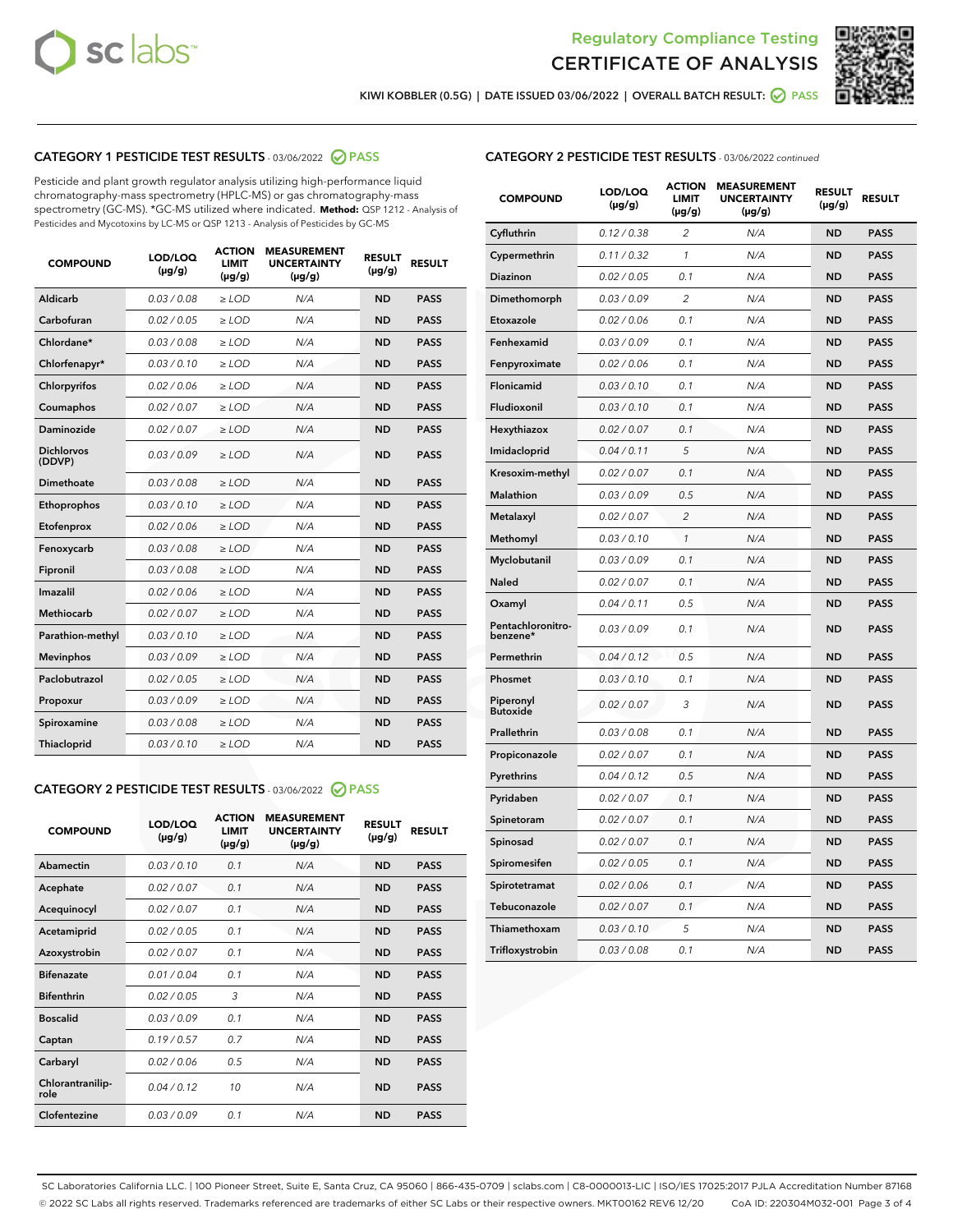



KIWI KOBBLER (0.5G) | DATE ISSUED 03/06/2022 | OVERALL BATCH RESULT:  $\bigcirc$  PASS

# CATEGORY 1 PESTICIDE TEST RESULTS - 03/06/2022 2 PASS

Pesticide and plant growth regulator analysis utilizing high-performance liquid chromatography-mass spectrometry (HPLC-MS) or gas chromatography-mass spectrometry (GC-MS). \*GC-MS utilized where indicated. **Method:** QSP 1212 - Analysis of Pesticides and Mycotoxins by LC-MS or QSP 1213 - Analysis of Pesticides by GC-MS

| <b>COMPOUND</b>             | LOD/LOQ<br>$(\mu g/g)$ | <b>ACTION</b><br>LIMIT<br>$(\mu g/g)$ | <b>MEASUREMENT</b><br><b>UNCERTAINTY</b><br>$(\mu g/g)$ | <b>RESULT</b><br>$(\mu g/g)$ | <b>RESULT</b> |
|-----------------------------|------------------------|---------------------------------------|---------------------------------------------------------|------------------------------|---------------|
| Aldicarb                    | 0.03 / 0.08            | $\ge$ LOD                             | N/A                                                     | <b>ND</b>                    | <b>PASS</b>   |
| Carbofuran                  | 0.02 / 0.05            | $\ge$ LOD                             | N/A                                                     | <b>ND</b>                    | <b>PASS</b>   |
| Chlordane*                  | 0.03/0.08              | $\ge$ LOD                             | N/A                                                     | <b>ND</b>                    | <b>PASS</b>   |
| Chlorfenapyr*               | 0.03/0.10              | $\ge$ LOD                             | N/A                                                     | <b>ND</b>                    | <b>PASS</b>   |
| Chlorpyrifos                | 0.02/0.06              | $\ge$ LOD                             | N/A                                                     | <b>ND</b>                    | <b>PASS</b>   |
| Coumaphos                   | 0.02 / 0.07            | $>$ LOD                               | N/A                                                     | <b>ND</b>                    | <b>PASS</b>   |
| Daminozide                  | 0.02 / 0.07            | $>$ LOD                               | N/A                                                     | <b>ND</b>                    | <b>PASS</b>   |
| <b>Dichlorvos</b><br>(DDVP) | 0.03/0.09              | $\ge$ LOD                             | N/A                                                     | <b>ND</b>                    | <b>PASS</b>   |
| Dimethoate                  | 0.03/0.08              | $>$ LOD                               | N/A                                                     | <b>ND</b>                    | <b>PASS</b>   |
| Ethoprophos                 | 0.03/0.10              | $\ge$ LOD                             | N/A                                                     | <b>ND</b>                    | <b>PASS</b>   |
| Etofenprox                  | 0.02 / 0.06            | $>$ LOD                               | N/A                                                     | <b>ND</b>                    | <b>PASS</b>   |
| Fenoxycarb                  | 0.03/0.08              | $>$ LOD                               | N/A                                                     | <b>ND</b>                    | <b>PASS</b>   |
| Fipronil                    | 0.03 / 0.08            | $\ge$ LOD                             | N/A                                                     | <b>ND</b>                    | <b>PASS</b>   |
| Imazalil                    | 0.02 / 0.06            | $>$ LOD                               | N/A                                                     | <b>ND</b>                    | <b>PASS</b>   |
| <b>Methiocarb</b>           | 0.02 / 0.07            | $\ge$ LOD                             | N/A                                                     | <b>ND</b>                    | <b>PASS</b>   |
| Parathion-methyl            | 0.03/0.10              | $>$ LOD                               | N/A                                                     | <b>ND</b>                    | <b>PASS</b>   |
| <b>Mevinphos</b>            | 0.03/0.09              | $\ge$ LOD                             | N/A                                                     | <b>ND</b>                    | <b>PASS</b>   |
| Paclobutrazol               | 0.02 / 0.05            | $\ge$ LOD                             | N/A                                                     | <b>ND</b>                    | <b>PASS</b>   |
| Propoxur                    | 0.03/0.09              | $\ge$ LOD                             | N/A                                                     | <b>ND</b>                    | <b>PASS</b>   |
| Spiroxamine                 | 0.03 / 0.08            | $\ge$ LOD                             | N/A                                                     | <b>ND</b>                    | <b>PASS</b>   |
| Thiacloprid                 | 0.03/0.10              | $>$ LOD                               | N/A                                                     | <b>ND</b>                    | <b>PASS</b>   |
|                             |                        |                                       |                                                         |                              |               |

### CATEGORY 2 PESTICIDE TEST RESULTS - 03/06/2022 @ PASS

| <b>COMPOUND</b>          | LOD/LOO<br>$(\mu g/g)$ | <b>ACTION</b><br><b>LIMIT</b><br>$(\mu g/g)$ | <b>MEASUREMENT</b><br><b>UNCERTAINTY</b><br>$(\mu g/g)$ | <b>RESULT</b><br>$(\mu g/g)$ | <b>RESULT</b> |
|--------------------------|------------------------|----------------------------------------------|---------------------------------------------------------|------------------------------|---------------|
| Abamectin                | 0.03/0.10              | 0.1                                          | N/A                                                     | <b>ND</b>                    | <b>PASS</b>   |
| Acephate                 | 0.02 / 0.07            | 0.1                                          | N/A                                                     | <b>ND</b>                    | <b>PASS</b>   |
| Acequinocyl              | 0.02/0.07              | 0.1                                          | N/A                                                     | <b>ND</b>                    | <b>PASS</b>   |
| Acetamiprid              | 0.02/0.05              | 0.1                                          | N/A                                                     | <b>ND</b>                    | <b>PASS</b>   |
| Azoxystrobin             | 0.02 / 0.07            | 0.1                                          | N/A                                                     | <b>ND</b>                    | <b>PASS</b>   |
| <b>Bifenazate</b>        | 0.01/0.04              | 0.1                                          | N/A                                                     | <b>ND</b>                    | <b>PASS</b>   |
| <b>Bifenthrin</b>        | 0.02/0.05              | 3                                            | N/A                                                     | <b>ND</b>                    | <b>PASS</b>   |
| <b>Boscalid</b>          | 0.03/0.09              | 0.1                                          | N/A                                                     | <b>ND</b>                    | <b>PASS</b>   |
| Captan                   | 0.19/0.57              | 0.7                                          | N/A                                                     | <b>ND</b>                    | <b>PASS</b>   |
| Carbaryl                 | 0.02/0.06              | 0.5                                          | N/A                                                     | <b>ND</b>                    | <b>PASS</b>   |
| Chlorantranilip-<br>role | 0.04/0.12              | 10                                           | N/A                                                     | <b>ND</b>                    | <b>PASS</b>   |
| Clofentezine             | 0.03/0.09              | 0.1                                          | N/A                                                     | <b>ND</b>                    | <b>PASS</b>   |

| <b>COMPOUND</b>               | LOD/LOQ<br>(µg/g) | <b>ACTION</b><br>LIMIT<br>$(\mu g/g)$ | <b>MEASUREMENT</b><br><b>UNCERTAINTY</b><br>(µg/g) | <b>RESULT</b><br>$(\mu g/g)$ | <b>RESULT</b> |
|-------------------------------|-------------------|---------------------------------------|----------------------------------------------------|------------------------------|---------------|
| Cyfluthrin                    | 0.12 / 0.38       | $\overline{c}$                        | N/A                                                | ND                           | <b>PASS</b>   |
| Cypermethrin                  | 0.11 / 0.32       | 1                                     | N/A                                                | <b>ND</b>                    | <b>PASS</b>   |
| Diazinon                      | 0.02 / 0.05       | 0.1                                   | N/A                                                | <b>ND</b>                    | <b>PASS</b>   |
| Dimethomorph                  | 0.03 / 0.09       | 2                                     | N/A                                                | <b>ND</b>                    | <b>PASS</b>   |
| Etoxazole                     | 0.02 / 0.06       | 0.1                                   | N/A                                                | <b>ND</b>                    | <b>PASS</b>   |
| Fenhexamid                    | 0.03 / 0.09       | 0.1                                   | N/A                                                | <b>ND</b>                    | <b>PASS</b>   |
| Fenpyroximate                 | 0.02 / 0.06       | 0.1                                   | N/A                                                | <b>ND</b>                    | <b>PASS</b>   |
| Flonicamid                    | 0.03 / 0.10       | 0.1                                   | N/A                                                | <b>ND</b>                    | <b>PASS</b>   |
| Fludioxonil                   | 0.03 / 0.10       | 0.1                                   | N/A                                                | <b>ND</b>                    | <b>PASS</b>   |
| Hexythiazox                   | 0.02 / 0.07       | 0.1                                   | N/A                                                | <b>ND</b>                    | <b>PASS</b>   |
| Imidacloprid                  | 0.04 / 0.11       | 5                                     | N/A                                                | <b>ND</b>                    | <b>PASS</b>   |
| Kresoxim-methyl               | 0.02 / 0.07       | 0.1                                   | N/A                                                | <b>ND</b>                    | <b>PASS</b>   |
| <b>Malathion</b>              | 0.03 / 0.09       | 0.5                                   | N/A                                                | <b>ND</b>                    | <b>PASS</b>   |
| Metalaxyl                     | 0.02 / 0.07       | $\overline{c}$                        | N/A                                                | <b>ND</b>                    | <b>PASS</b>   |
| Methomyl                      | 0.03 / 0.10       | $\mathbf{1}$                          | N/A                                                | <b>ND</b>                    | <b>PASS</b>   |
| Myclobutanil                  | 0.03 / 0.09       | 0.1                                   | N/A                                                | <b>ND</b>                    | <b>PASS</b>   |
| Naled                         | 0.02 / 0.07       | 0.1                                   | N/A                                                | <b>ND</b>                    | <b>PASS</b>   |
| Oxamyl                        | 0.04 / 0.11       | 0.5                                   | N/A                                                | ND                           | <b>PASS</b>   |
| Pentachloronitro-<br>benzene* | 0.03 / 0.09       | 0.1                                   | N/A                                                | <b>ND</b>                    | <b>PASS</b>   |
| Permethrin                    | 0.04 / 0.12       | 0.5                                   | N/A                                                | <b>ND</b>                    | <b>PASS</b>   |
| Phosmet                       | 0.03 / 0.10       | 0.1                                   | N/A                                                | <b>ND</b>                    | <b>PASS</b>   |
| Piperonyl<br><b>Butoxide</b>  | 0.02 / 0.07       | 3                                     | N/A                                                | <b>ND</b>                    | <b>PASS</b>   |
| Prallethrin                   | 0.03 / 0.08       | 0.1                                   | N/A                                                | <b>ND</b>                    | <b>PASS</b>   |
| Propiconazole                 | 0.02 / 0.07       | 0.1                                   | N/A                                                | <b>ND</b>                    | <b>PASS</b>   |
| Pyrethrins                    | 0.04 / 0.12       | 0.5                                   | N/A                                                | <b>ND</b>                    | <b>PASS</b>   |
| Pyridaben                     | 0.02 / 0.07       | 0.1                                   | N/A                                                | <b>ND</b>                    | <b>PASS</b>   |
| Spinetoram                    | 0.02 / 0.07       | 0.1                                   | N/A                                                | <b>ND</b>                    | <b>PASS</b>   |
| Spinosad                      | 0.02 / 0.07       | 0.1                                   | N/A                                                | <b>ND</b>                    | <b>PASS</b>   |
| Spiromesifen                  | 0.02 / 0.05       | 0.1                                   | N/A                                                | <b>ND</b>                    | <b>PASS</b>   |
| Spirotetramat                 | 0.02 / 0.06       | 0.1                                   | N/A                                                | <b>ND</b>                    | <b>PASS</b>   |
| Tebuconazole                  | 0.02 / 0.07       | 0.1                                   | N/A                                                | ND                           | PASS          |
| Thiamethoxam                  | 0.03 / 0.10       | 5                                     | N/A                                                | ND                           | <b>PASS</b>   |
| Trifloxystrobin               | 0.03 / 0.08       | 0.1                                   | N/A                                                | ND                           | <b>PASS</b>   |

SC Laboratories California LLC. | 100 Pioneer Street, Suite E, Santa Cruz, CA 95060 | 866-435-0709 | sclabs.com | C8-0000013-LIC | ISO/IES 17025:2017 PJLA Accreditation Number 87168 © 2022 SC Labs all rights reserved. Trademarks referenced are trademarks of either SC Labs or their respective owners. MKT00162 REV6 12/20 CoA ID: 220304M032-001 Page 3 of 4